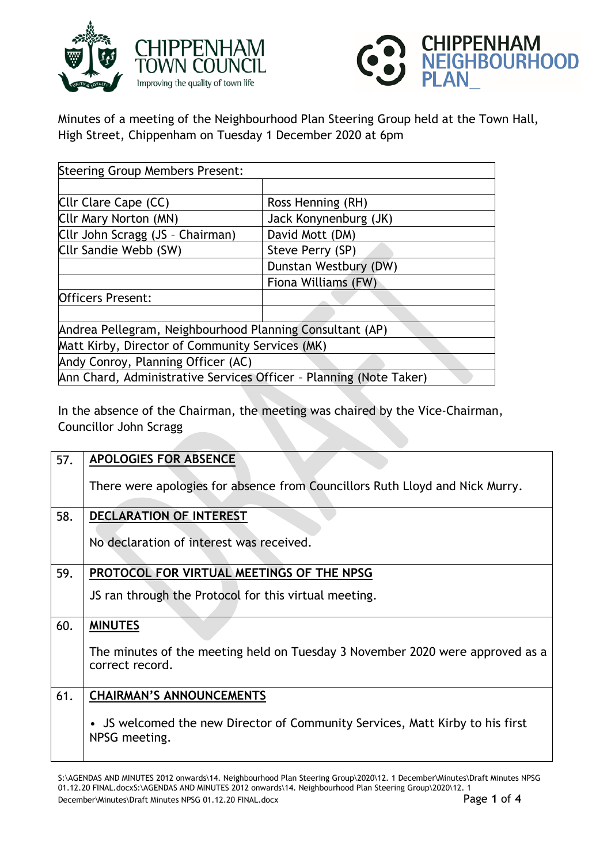



Minutes of a meeting of the Neighbourhood Plan Steering Group held at the Town Hall, High Street, Chippenham on Tuesday 1 December 2020 at 6pm

| <b>Steering Group Members Present:</b>                             |                       |  |
|--------------------------------------------------------------------|-----------------------|--|
|                                                                    |                       |  |
| Cllr Clare Cape (CC)                                               | Ross Henning (RH)     |  |
| Cllr Mary Norton (MN)                                              | Jack Konynenburg (JK) |  |
| Cllr John Scragg (JS - Chairman)                                   | David Mott (DM)       |  |
| Cllr Sandie Webb (SW)                                              | Steve Perry (SP)      |  |
|                                                                    | Dunstan Westbury (DW) |  |
|                                                                    | Fiona Williams (FW)   |  |
| <b>Officers Present:</b>                                           |                       |  |
|                                                                    |                       |  |
| Andrea Pellegram, Neighbourhood Planning Consultant (AP)           |                       |  |
| Matt Kirby, Director of Community Services (MK)                    |                       |  |
| Andy Conroy, Planning Officer (AC)                                 |                       |  |
| Ann Chard, Administrative Services Officer - Planning (Note Taker) |                       |  |

In the absence of the Chairman, the meeting was chaired by the Vice-Chairman, Councillor John Scragg

| 57. | <b>APOLOGIES FOR ABSENCE</b>                                                                     |
|-----|--------------------------------------------------------------------------------------------------|
|     | There were apologies for absence from Councillors Ruth Lloyd and Nick Murry.                     |
| 58. | <b>DECLARATION OF INTEREST</b>                                                                   |
|     | No declaration of interest was received.                                                         |
| 59. | PROTOCOL FOR VIRTUAL MEETINGS OF THE NPSG                                                        |
|     | JS ran through the Protocol for this virtual meeting.                                            |
| 60. | <b>MINUTES</b>                                                                                   |
|     | The minutes of the meeting held on Tuesday 3 November 2020 were approved as a<br>correct record. |
| 61. | <b>CHAIRMAN'S ANNOUNCEMENTS</b>                                                                  |
|     | • JS welcomed the new Director of Community Services, Matt Kirby to his first<br>NPSG meeting.   |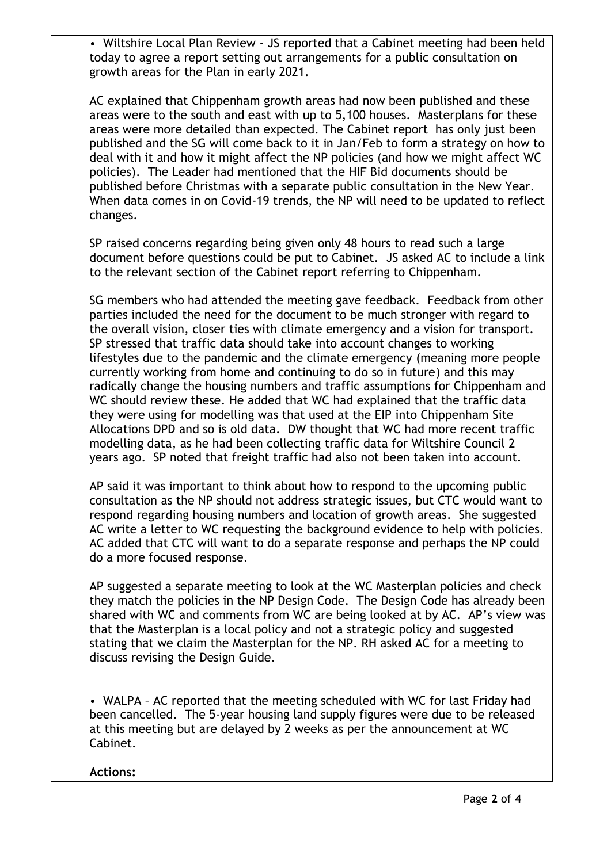• Wiltshire Local Plan Review - JS reported that a Cabinet meeting had been held today to agree a report setting out arrangements for a public consultation on growth areas for the Plan in early 2021.

AC explained that Chippenham growth areas had now been published and these areas were to the south and east with up to 5,100 houses. Masterplans for these areas were more detailed than expected. The Cabinet report has only just been published and the SG will come back to it in Jan/Feb to form a strategy on how to deal with it and how it might affect the NP policies (and how we might affect WC policies). The Leader had mentioned that the HIF Bid documents should be published before Christmas with a separate public consultation in the New Year. When data comes in on Covid-19 trends, the NP will need to be updated to reflect changes.

SP raised concerns regarding being given only 48 hours to read such a large document before questions could be put to Cabinet. JS asked AC to include a link to the relevant section of the Cabinet report referring to Chippenham.

SG members who had attended the meeting gave feedback. Feedback from other parties included the need for the document to be much stronger with regard to the overall vision, closer ties with climate emergency and a vision for transport. SP stressed that traffic data should take into account changes to working lifestyles due to the pandemic and the climate emergency (meaning more people currently working from home and continuing to do so in future) and this may radically change the housing numbers and traffic assumptions for Chippenham and WC should review these. He added that WC had explained that the traffic data they were using for modelling was that used at the EIP into Chippenham Site Allocations DPD and so is old data. DW thought that WC had more recent traffic modelling data, as he had been collecting traffic data for Wiltshire Council 2 years ago. SP noted that freight traffic had also not been taken into account.

AP said it was important to think about how to respond to the upcoming public consultation as the NP should not address strategic issues, but CTC would want to respond regarding housing numbers and location of growth areas. She suggested AC write a letter to WC requesting the background evidence to help with policies. AC added that CTC will want to do a separate response and perhaps the NP could do a more focused response.

AP suggested a separate meeting to look at the WC Masterplan policies and check they match the policies in the NP Design Code. The Design Code has already been shared with WC and comments from WC are being looked at by AC. AP's view was that the Masterplan is a local policy and not a strategic policy and suggested stating that we claim the Masterplan for the NP. RH asked AC for a meeting to discuss revising the Design Guide.

• WALPA – AC reported that the meeting scheduled with WC for last Friday had been cancelled. The 5-year housing land supply figures were due to be released at this meeting but are delayed by 2 weeks as per the announcement at WC Cabinet.

## **Actions:**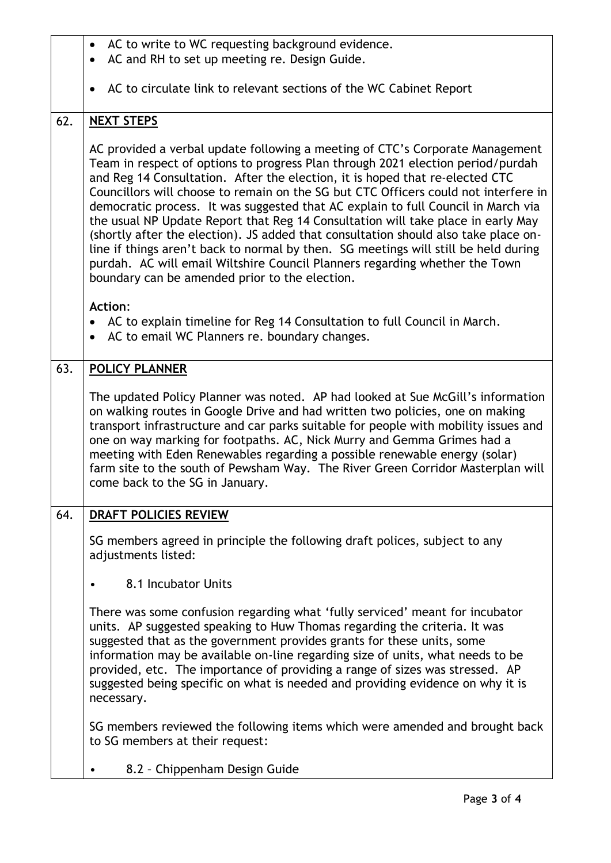|     | AC to write to WC requesting background evidence.<br>$\bullet$                                                                                                                                                                                                                                                                                                                                                                                                                                                                                                                                                                                                                                                                                                                                                                  |
|-----|---------------------------------------------------------------------------------------------------------------------------------------------------------------------------------------------------------------------------------------------------------------------------------------------------------------------------------------------------------------------------------------------------------------------------------------------------------------------------------------------------------------------------------------------------------------------------------------------------------------------------------------------------------------------------------------------------------------------------------------------------------------------------------------------------------------------------------|
|     | AC and RH to set up meeting re. Design Guide.<br>$\bullet$                                                                                                                                                                                                                                                                                                                                                                                                                                                                                                                                                                                                                                                                                                                                                                      |
|     | AC to circulate link to relevant sections of the WC Cabinet Report<br>$\bullet$                                                                                                                                                                                                                                                                                                                                                                                                                                                                                                                                                                                                                                                                                                                                                 |
| 62. | <b>NEXT STEPS</b>                                                                                                                                                                                                                                                                                                                                                                                                                                                                                                                                                                                                                                                                                                                                                                                                               |
|     | AC provided a verbal update following a meeting of CTC's Corporate Management<br>Team in respect of options to progress Plan through 2021 election period/purdah<br>and Reg 14 Consultation. After the election, it is hoped that re-elected CTC<br>Councillors will choose to remain on the SG but CTC Officers could not interfere in<br>democratic process. It was suggested that AC explain to full Council in March via<br>the usual NP Update Report that Reg 14 Consultation will take place in early May<br>(shortly after the election). JS added that consultation should also take place on-<br>line if things aren't back to normal by then. SG meetings will still be held during<br>purdah. AC will email Wiltshire Council Planners regarding whether the Town<br>boundary can be amended prior to the election. |
|     | <b>Action:</b><br>AC to explain timeline for Reg 14 Consultation to full Council in March.<br>AC to email WC Planners re. boundary changes.<br>$\bullet$                                                                                                                                                                                                                                                                                                                                                                                                                                                                                                                                                                                                                                                                        |
| 63. | <b>POLICY PLANNER</b>                                                                                                                                                                                                                                                                                                                                                                                                                                                                                                                                                                                                                                                                                                                                                                                                           |
|     | The updated Policy Planner was noted. AP had looked at Sue McGill's information<br>on walking routes in Google Drive and had written two policies, one on making<br>transport infrastructure and car parks suitable for people with mobility issues and<br>one on way marking for footpaths. AC, Nick Murry and Gemma Grimes had a<br>meeting with Eden Renewables regarding a possible renewable energy (solar)<br>farm site to the south of Pewsham Way. The River Green Corridor Masterplan will<br>come back to the SG in January.                                                                                                                                                                                                                                                                                          |
| 64. | DRAFT POLICIES REVIEW                                                                                                                                                                                                                                                                                                                                                                                                                                                                                                                                                                                                                                                                                                                                                                                                           |
|     | SG members agreed in principle the following draft polices, subject to any<br>adjustments listed:                                                                                                                                                                                                                                                                                                                                                                                                                                                                                                                                                                                                                                                                                                                               |
|     | 8.1 Incubator Units<br>$\bullet$                                                                                                                                                                                                                                                                                                                                                                                                                                                                                                                                                                                                                                                                                                                                                                                                |
|     | There was some confusion regarding what 'fully serviced' meant for incubator<br>units. AP suggested speaking to Huw Thomas regarding the criteria. It was<br>suggested that as the government provides grants for these units, some<br>information may be available on-line regarding size of units, what needs to be<br>provided, etc. The importance of providing a range of sizes was stressed. AP<br>suggested being specific on what is needed and providing evidence on why it is<br>necessary.                                                                                                                                                                                                                                                                                                                           |
|     | SG members reviewed the following items which were amended and brought back<br>to SG members at their request:                                                                                                                                                                                                                                                                                                                                                                                                                                                                                                                                                                                                                                                                                                                  |
|     | 8.2 - Chippenham Design Guide                                                                                                                                                                                                                                                                                                                                                                                                                                                                                                                                                                                                                                                                                                                                                                                                   |